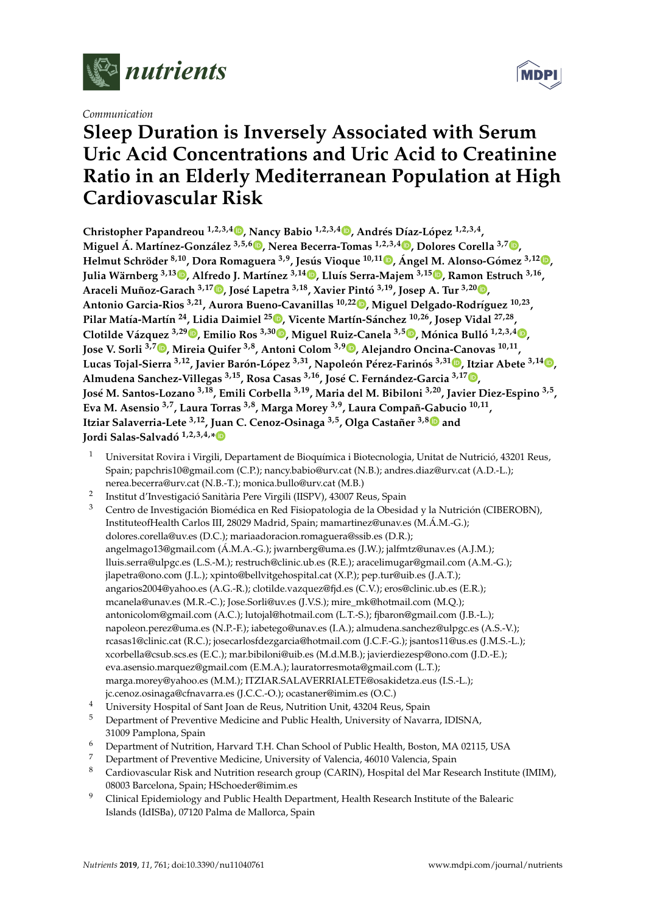

*Communication*



# **Sleep Duration is Inversely Associated with Serum Uric Acid Concentrations and Uric Acid to Creatinine Ratio in an Elderly Mediterranean Population at High Cardiovascular Risk**

**Christopher Papandreou 1,2,3,[4](https://orcid.org/0000-0002-6803-507X) , Nancy Babio 1,2,3,4 [,](https://orcid.org/0000-0003-3527-5277) Andrés Díaz-López 1,2,3,4 , Miguel Á. Martínez-González 3,5,6 [,](https://orcid.org/0000-0002-3917-9808) Nerea Becerra-Tomas 1,2,3,4 [,](https://orcid.org/0000-0002-4429-6507) Dolores Corella 3,7 [,](https://orcid.org/0000-0002-2366-4104) Helmut Schröder 8,10, Dora Romaguera 3,9, Jesús Vioque 10,11 [,](https://orcid.org/0000-0002-2284-148X) Ángel M. Alonso-Gómez 3,12 [,](https://orcid.org/0000-0003-2945-7509) Julia Wärnberg 3,13 [,](https://orcid.org/0000-0002-8408-316X) Alfredo J. Martínez 3,14 [,](https://orcid.org/0000-0001-5218-6941) Lluís Serra-Majem 3,15 [,](https://orcid.org/0000-0002-9658-9061) Ramon Estruch 3,16 , Araceli Muñoz-Garach 3,17 [,](https://orcid.org/0000-0002-1867-1158) José Lapetra 3,18, Xavier Pintó 3,19, Josep A. Tur 3,20 [,](https://orcid.org/0000-0002-6940-0761) Antonio Garcia-Rios 3,21, Aurora Bueno-Cavanillas 10,22 [,](https://orcid.org/0000-0002-0649-3016) Miguel Delgado-Rodríguez 10,23 , Pilar Matía-Martín <sup>24</sup>, Lidia Daimiel <sup>25</sup> [,](https://orcid.org/0000-0001-9898-6629) Vicente Martín-Sánchez 10,26, Josep Vidal 27,28 , Clotilde Vázquez 3,29 [,](https://orcid.org/0000-0003-1629-2143) Emilio Ros 3,30 [,](https://orcid.org/0000-0002-2573-1294) Miguel Ruiz-Canela 3,5 [,](https://orcid.org/0000-0002-7684-2787) Mónica Bulló 1,2,3,4 [,](https://orcid.org/0000-0002-0218-7046) Jose V. Sorli 3,7 [,](https://orcid.org/0000-0002-0130-2006) Mireia Quifer 3,8, Antoni Colom 3,9 [,](https://orcid.org/0000-0001-5041-0778) Alejandro Oncina-Canovas 10,11 ,** Lucas Tojal-Sierra <sup>3,[1](https://orcid.org/0000-0001-7936-1172)2</sup>[,](https://orcid.org/0000-0002-6475-5387) Javier Barón-López <sup>3,31</sup>, Napoleón Pérez-Farinós <sup>3,31</sup>D, Itziar Abete <sup>3,14</sup>D, **Almudena Sanchez-Villegas 3,15, Rosa Casas 3,16, José C. Fernández-Garcia 3,1[7](https://orcid.org/0000-0003-2229-8488) , José M. Santos-Lozano 3,18, Emili Corbella 3,19, Maria del M. Bibiloni 3,20, Javier Diez-Espino 3,5 , Eva M. Asensio 3,7, Laura Torras 3,8, Marga Morey 3,9, Laura Compañ-Gabucio 10,11 , Itziar Salaverria-Lete 3,12, Juan C. Cenoz-Osinaga 3,5, Olga Castañer 3,[8](https://orcid.org/0000-0003-3169-997X) and Jordi Salas-Salvadó 1,2,3,4,[\\*](https://orcid.org/0000-0003-2700-7459)**

- <sup>1</sup> Universitat Rovira i Virgili, Departament de Bioquímica i Biotecnologia, Unitat de Nutrició, 43201 Reus, Spain; papchris10@gmail.com (C.P.); nancy.babio@urv.cat (N.B.); andres.diaz@urv.cat (A.D.-L.); nerea.becerra@urv.cat (N.B.-T.); monica.bullo@urv.cat (M.B.)
- 2 Institut d'Investigació Sanitària Pere Virgili (IISPV), 43007 Reus, Spain
- <sup>3</sup> Centro de Investigación Biomédica en Red Fisiopatologia de la Obesidad y la Nutrición (CIBEROBN), InstituteofHealth Carlos III, 28029 Madrid, Spain; mamartinez@unav.es (M.Á.M.-G.); dolores.corella@uv.es (D.C.); mariaadoracion.romaguera@ssib.es (D.R.); angelmago13@gmail.com (Á.M.A.-G.); jwarnberg@uma.es (J.W.); jalfmtz@unav.es (A.J.M.); lluis.serra@ulpgc.es (L.S.-M.); restruch@clinic.ub.es (R.E.); aracelimugar@gmail.com (A.M.-G.); jlapetra@ono.com (J.L.); xpinto@bellvitgehospital.cat (X.P.); pep.tur@uib.es (J.A.T.); angarios2004@yahoo.es (A.G.-R.); clotilde.vazquez@fjd.es (C.V.); eros@clinic.ub.es (E.R.); mcanela@unav.es (M.R.-C.); Jose.Sorli@uv.es (J.V.S.); mire\_mk@hotmail.com (M.Q.); antonicolom@gmail.com (A.C.); lutojal@hotmail.com (L.T.-S.); fjbaron@gmail.com (J.B.-L.); napoleon.perez@uma.es (N.P.-F.); iabetego@unav.es (I.A.); almudena.sanchez@ulpgc.es (A.S.-V.); rcasas1@clinic.cat (R.C.); josecarlosfdezgarcia@hotmail.com (J.C.F.-G.); jsantos11@us.es (J.M.S.-L.); xcorbella@csub.scs.es (E.C.); mar.bibiloni@uib.es (M.d.M.B.); javierdiezesp@ono.com (J.D.-E.); eva.asensio.marquez@gmail.com (E.M.A.); lauratorresmota@gmail.com (L.T.); marga.morey@yahoo.es (M.M.); ITZIAR.SALAVERRIALETE@osakidetza.eus (I.S.-L.); jc.cenoz.osinaga@cfnavarra.es (J.C.C.-O.); ocastaner@imim.es (O.C.)
- 4 University Hospital of Sant Joan de Reus, Nutrition Unit, 43204 Reus, Spain<br>5 Department of Preventive Medicine and Public Hoalth University of Navar
- <sup>5</sup> Department of Preventive Medicine and Public Health, University of Navarra, IDISNA, 31009 Pamplona, Spain
- <sup>6</sup> Department of Nutrition, Harvard T.H. Chan School of Public Health, Boston, MA 02115, USA
- <sup>7</sup> Department of Preventive Medicine, University of Valencia, 46010 Valencia, Spain
- <sup>8</sup> Cardiovascular Risk and Nutrition research group (CARIN), Hospital del Mar Research Institute (IMIM), 08003 Barcelona, Spain; HSchoeder@imim.es
- <sup>9</sup> Clinical Epidemiology and Public Health Department, Health Research Institute of the Balearic Islands (IdISBa), 07120 Palma de Mallorca, Spain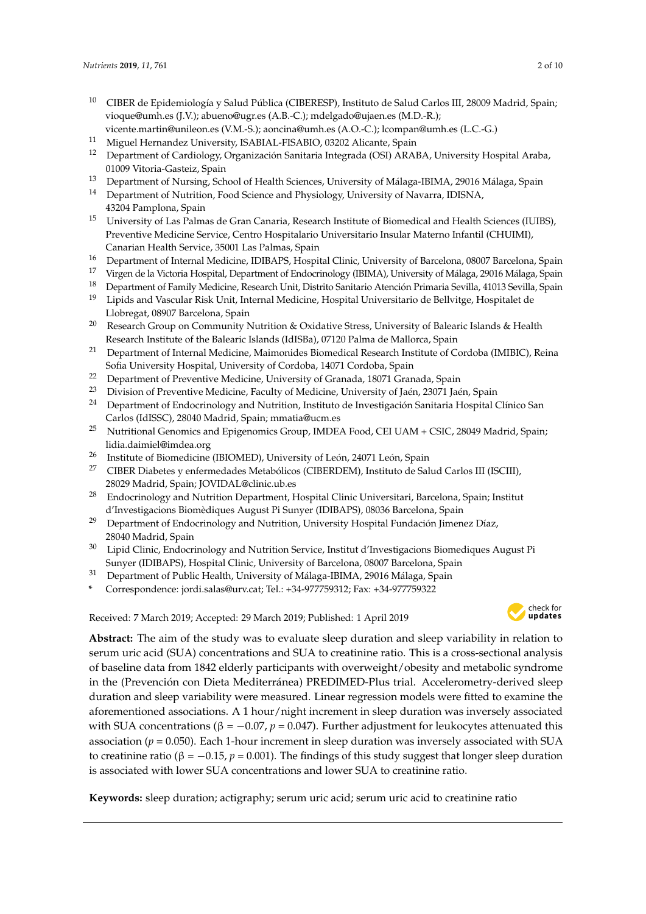- <sup>10</sup> CIBER de Epidemiología y Salud Pública (CIBERESP), Instituto de Salud Carlos III, 28009 Madrid, Spain; vioque@umh.es (J.V.); abueno@ugr.es (A.B.-C.); mdelgado@ujaen.es (M.D.-R.);
- vicente.martin@unileon.es (V.M.-S.); aoncina@umh.es (A.O.-C.); lcompan@umh.es (L.C.-G.)
- <sup>11</sup> Miguel Hernandez University, ISABIAL-FISABIO, 03202 Alicante, Spain
- <sup>12</sup> Department of Cardiology, Organización Sanitaria Integrada (OSI) ARABA, University Hospital Araba, 01009 Vitoria-Gasteiz, Spain
- <sup>13</sup> Department of Nursing, School of Health Sciences, University of Málaga-IBIMA, 29016 Málaga, Spain
- <sup>14</sup> Department of Nutrition, Food Science and Physiology, University of Navarra, IDISNA, 43204 Pamplona, Spain
- <sup>15</sup> University of Las Palmas de Gran Canaria, Research Institute of Biomedical and Health Sciences (IUIBS), Preventive Medicine Service, Centro Hospitalario Universitario Insular Materno Infantil (CHUIMI), Canarian Health Service, 35001 Las Palmas, Spain
- <sup>16</sup> Department of Internal Medicine, IDIBAPS, Hospital Clinic, University of Barcelona, 08007 Barcelona, Spain<br><sup>17</sup> Virgon de la Victoria Hespital Department of Endearingles: (IBIMA), University of Mélege, 20016 Mélege, S
- <sup>17</sup> Virgen de la Victoria Hospital, Department of Endocrinology (IBIMA), University of Málaga, 29016 Málaga, Spain<br><sup>18</sup> Department of Equily Modicine, Personsk Unit, Distrito Sanitario Atanción Primaria Savilla 41013 Savi
- <sup>18</sup> Department of Family Medicine, Research Unit, Distrito Sanitario Atención Primaria Sevilla, 41013 Sevilla, Spain<br><sup>19</sup> Linids and Vascular Risk Unit, Internal Medicine, Hespital Universitario de Bellyitge, Hespitalet d
- <sup>19</sup> Lipids and Vascular Risk Unit, Internal Medicine, Hospital Universitario de Bellvitge, Hospitalet de Llobregat, 08907 Barcelona, Spain
- <sup>20</sup> Research Group on Community Nutrition & Oxidative Stress, University of Balearic Islands & Health Research Institute of the Balearic Islands (IdISBa), 07120 Palma de Mallorca, Spain
- <sup>21</sup> Department of Internal Medicine, Maimonides Biomedical Research Institute of Cordoba (IMIBIC), Reina Sofia University Hospital, University of Cordoba, 14071 Cordoba, Spain
- <sup>22</sup> Department of Preventive Medicine, University of Granada, 18071 Granada, Spain<br><sup>23</sup> Division of Preventive Medicine, Feculty of Medicine, University of Jaén 22071 Jaé
- <sup>23</sup> Division of Preventive Medicine, Faculty of Medicine, University of Jaén, 23071 Jaén, Spain
- <sup>24</sup> Department of Endocrinology and Nutrition, Instituto de Investigación Sanitaria Hospital Clínico San Carlos (IdISSC), 28040 Madrid, Spain; mmatia@ucm.es
- <sup>25</sup> Nutritional Genomics and Epigenomics Group, IMDEA Food, CEI UAM + CSIC, 28049 Madrid, Spain; lidia.daimiel@imdea.org
- <sup>26</sup> Institute of Biomedicine (IBIOMED), University of León, 24071 León, Spain
- <sup>27</sup> CIBER Diabetes y enfermedades Metabólicos (CIBERDEM), Instituto de Salud Carlos III (ISCIII), 28029 Madrid, Spain; JOVIDAL@clinic.ub.es
- <sup>28</sup> Endocrinology and Nutrition Department, Hospital Clinic Universitari, Barcelona, Spain; Institut d'Investigacions Biomèdiques August Pi Sunyer (IDIBAPS), 08036 Barcelona, Spain
- <sup>29</sup> Department of Endocrinology and Nutrition, University Hospital Fundación Jimenez Díaz, 28040 Madrid, Spain
- <sup>30</sup> Lipid Clinic, Endocrinology and Nutrition Service, Institut d'Investigacions Biomediques August Pi Sunyer (IDIBAPS), Hospital Clinic, University of Barcelona, 08007 Barcelona, Spain
- <sup>31</sup> Department of Public Health, University of Málaga-IBIMA, 29016 Málaga, Spain
- **\*** Correspondence: jordi.salas@urv.cat; Tel.: +34-977759312; Fax: +34-977759322

Received: 7 March 2019; Accepted: 29 March 2019; Published: 1 April 2019



**Abstract:** The aim of the study was to evaluate sleep duration and sleep variability in relation to serum uric acid (SUA) concentrations and SUA to creatinine ratio. This is a cross-sectional analysis of baseline data from 1842 elderly participants with overweight/obesity and metabolic syndrome in the (Prevención con Dieta Mediterránea) PREDIMED-Plus trial. Accelerometry-derived sleep duration and sleep variability were measured. Linear regression models were fitted to examine the aforementioned associations. A 1 hour/night increment in sleep duration was inversely associated with SUA concentrations ( $β = -0.07$ ,  $p = 0.047$ ). Further adjustment for leukocytes attenuated this association ( $p = 0.050$ ). Each 1-hour increment in sleep duration was inversely associated with SUA to creatinine ratio (β =  $-0.15$ , *p* = 0.001). The findings of this study suggest that longer sleep duration is associated with lower SUA concentrations and lower SUA to creatinine ratio.

**Keywords:** sleep duration; actigraphy; serum uric acid; serum uric acid to creatinine ratio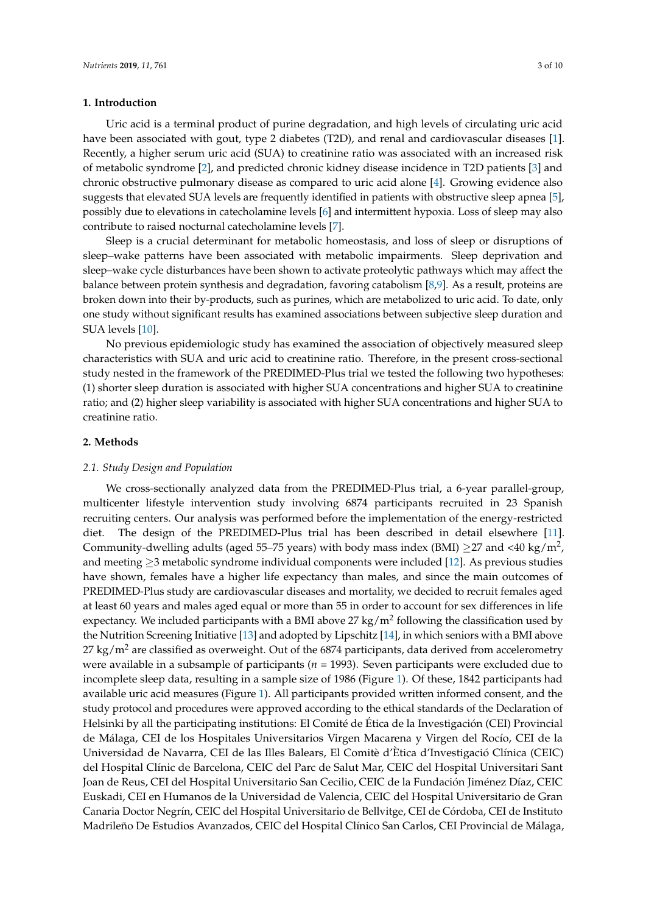## **1. Introduction**

Uric acid is a terminal product of purine degradation, and high levels of circulating uric acid have been associated with gout, type 2 diabetes (T2D), and renal and cardiovascular diseases [\[1\]](#page-8-0). Recently, a higher serum uric acid (SUA) to creatinine ratio was associated with an increased risk of metabolic syndrome [\[2\]](#page-8-1), and predicted chronic kidney disease incidence in T2D patients [\[3\]](#page-8-2) and chronic obstructive pulmonary disease as compared to uric acid alone [\[4\]](#page-8-3). Growing evidence also suggests that elevated SUA levels are frequently identified in patients with obstructive sleep apnea [\[5\]](#page-8-4), possibly due to elevations in catecholamine levels [\[6\]](#page-8-5) and intermittent hypoxia. Loss of sleep may also contribute to raised nocturnal catecholamine levels [\[7\]](#page-8-6).

Sleep is a crucial determinant for metabolic homeostasis, and loss of sleep or disruptions of sleep–wake patterns have been associated with metabolic impairments. Sleep deprivation and sleep–wake cycle disturbances have been shown to activate proteolytic pathways which may affect the balance between protein synthesis and degradation, favoring catabolism [\[8](#page-8-7)[,9\]](#page-8-8). As a result, proteins are broken down into their by-products, such as purines, which are metabolized to uric acid. To date, only one study without significant results has examined associations between subjective sleep duration and SUA levels [\[10\]](#page-8-9).

No previous epidemiologic study has examined the association of objectively measured sleep characteristics with SUA and uric acid to creatinine ratio. Therefore, in the present cross-sectional study nested in the framework of the PREDIMED-Plus trial we tested the following two hypotheses: (1) shorter sleep duration is associated with higher SUA concentrations and higher SUA to creatinine ratio; and (2) higher sleep variability is associated with higher SUA concentrations and higher SUA to creatinine ratio.

## **2. Methods**

#### *2.1. Study Design and Population*

We cross-sectionally analyzed data from the PREDIMED-Plus trial, a 6-year parallel-group, multicenter lifestyle intervention study involving 6874 participants recruited in 23 Spanish recruiting centers. Our analysis was performed before the implementation of the energy-restricted diet. The design of the PREDIMED-Plus trial has been described in detail elsewhere [\[11\]](#page-9-0). Community-dwelling adults (aged 55–75 years) with body mass index (BMI)  $\geq$ 27 and <40 kg/m<sup>2</sup>, and meeting  $\geq$ 3 metabolic syndrome individual components were included [\[12\]](#page-9-1). As previous studies have shown, females have a higher life expectancy than males, and since the main outcomes of PREDIMED-Plus study are cardiovascular diseases and mortality, we decided to recruit females aged at least 60 years and males aged equal or more than 55 in order to account for sex differences in life expectancy. We included participants with a BMI above 27 kg/m<sup>2</sup> following the classification used by the Nutrition Screening Initiative [\[13\]](#page-9-2) and adopted by Lipschitz [\[14\]](#page-9-3), in which seniors with a BMI above  $27 \text{ kg/m}^2$  are classified as overweight. Out of the 6874 participants, data derived from accelerometry were available in a subsample of participants (*n* = 1993). Seven participants were excluded due to incomplete sleep data, resulting in a sample size of 1986 (Figure [1\)](#page-4-0). Of these, 1842 participants had available uric acid measures (Figure [1\)](#page-4-0). All participants provided written informed consent, and the study protocol and procedures were approved according to the ethical standards of the Declaration of Helsinki by all the participating institutions: El Comité de Ética de la Investigación (CEI) Provincial de Málaga, CEI de los Hospitales Universitarios Virgen Macarena y Virgen del Rocío, CEI de la Universidad de Navarra, CEI de las Illes Balears, El Comitè d'Ètica d'Investigació Clínica (CEIC) del Hospital Clínic de Barcelona, CEIC del Parc de Salut Mar, CEIC del Hospital Universitari Sant Joan de Reus, CEI del Hospital Universitario San Cecilio, CEIC de la Fundación Jiménez Díaz, CEIC Euskadi, CEI en Humanos de la Universidad de Valencia, CEIC del Hospital Universitario de Gran Canaria Doctor Negrín, CEIC del Hospital Universitario de Bellvitge, CEI de Córdoba, CEI de Instituto Madrileño De Estudios Avanzados, CEIC del Hospital Clínico San Carlos, CEI Provincial de Málaga,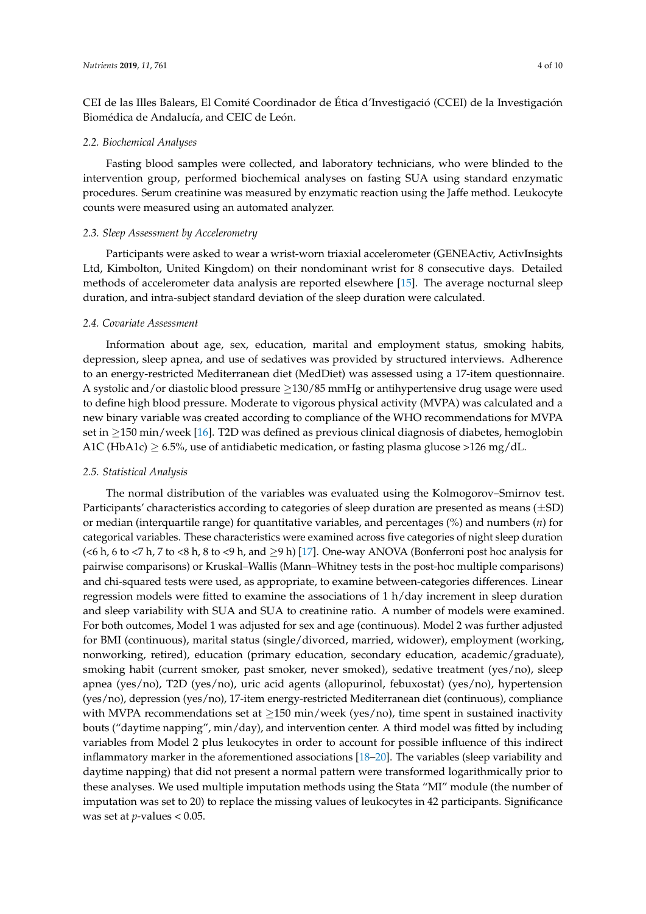CEI de las Illes Balears, El Comité Coordinador de Ética d'Investigació (CCEI) de la Investigación Biomédica de Andalucía, and CEIC de León.

## *2.2. Biochemical Analyses*

Fasting blood samples were collected, and laboratory technicians, who were blinded to the intervention group, performed biochemical analyses on fasting SUA using standard enzymatic procedures. Serum creatinine was measured by enzymatic reaction using the Jaffe method. Leukocyte counts were measured using an automated analyzer.

## *2.3. Sleep Assessment by Accelerometry*

Participants were asked to wear a wrist-worn triaxial accelerometer (GENEActiv, ActivInsights Ltd, Kimbolton, United Kingdom) on their nondominant wrist for 8 consecutive days. Detailed methods of accelerometer data analysis are reported elsewhere [\[15\]](#page-9-4). The average nocturnal sleep duration, and intra-subject standard deviation of the sleep duration were calculated.

#### *2.4. Covariate Assessment*

Information about age, sex, education, marital and employment status, smoking habits, depression, sleep apnea, and use of sedatives was provided by structured interviews. Adherence to an energy-restricted Mediterranean diet (MedDiet) was assessed using a 17-item questionnaire. A systolic and/or diastolic blood pressure ≥130/85 mmHg or antihypertensive drug usage were used to define high blood pressure. Moderate to vigorous physical activity (MVPA) was calculated and a new binary variable was created according to compliance of the WHO recommendations for MVPA set in ≥150 min/week [\[16\]](#page-9-5). T2D was defined as previous clinical diagnosis of diabetes, hemoglobin A1C (HbA1c)  $\geq$  6.5%, use of antidiabetic medication, or fasting plasma glucose >126 mg/dL.

## *2.5. Statistical Analysis*

The normal distribution of the variables was evaluated using the Kolmogorov–Smirnov test. Participants' characteristics according to categories of sleep duration are presented as means (±SD) or median (interquartile range) for quantitative variables, and percentages (%) and numbers (*n*) for categorical variables. These characteristics were examined across five categories of night sleep duration ( $\lt 6$  h, 6 to  $\lt 7$  h, 7 to  $\lt 8$  h, 8 to  $\lt 9$  h, and  $\geq 9$  h) [\[17\]](#page-9-6). One-way ANOVA (Bonferroni post hoc analysis for pairwise comparisons) or Kruskal–Wallis (Mann–Whitney tests in the post-hoc multiple comparisons) and chi-squared tests were used, as appropriate, to examine between-categories differences. Linear regression models were fitted to examine the associations of  $1 h/day$  increment in sleep duration and sleep variability with SUA and SUA to creatinine ratio. A number of models were examined. For both outcomes, Model 1 was adjusted for sex and age (continuous). Model 2 was further adjusted for BMI (continuous), marital status (single/divorced, married, widower), employment (working, nonworking, retired), education (primary education, secondary education, academic/graduate), smoking habit (current smoker, past smoker, never smoked), sedative treatment (yes/no), sleep apnea (yes/no), T2D (yes/no), uric acid agents (allopurinol, febuxostat) (yes/no), hypertension (yes/no), depression (yes/no), 17-item energy-restricted Mediterranean diet (continuous), compliance with MVPA recommendations set at  $\geq$ 150 min/week (yes/no), time spent in sustained inactivity bouts ("daytime napping", min/day), and intervention center. A third model was fitted by including variables from Model 2 plus leukocytes in order to account for possible influence of this indirect inflammatory marker in the aforementioned associations [\[18–](#page-9-7)[20\]](#page-9-8). The variables (sleep variability and daytime napping) that did not present a normal pattern were transformed logarithmically prior to these analyses. We used multiple imputation methods using the Stata "MI" module (the number of imputation was set to 20) to replace the missing values of leukocytes in 42 participants. Significance was set at *p*-values  $< 0.05$ .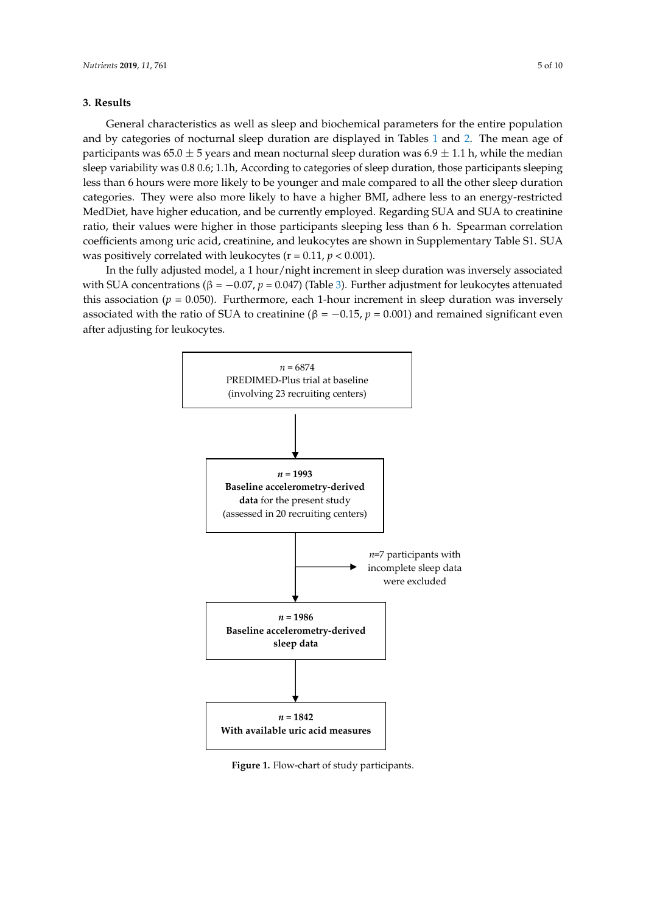## **3. Results**

General characteristics as well as sleep and biochemical parameters for the entire population and by categories of nocturnal sleep duration are displayed in Tables [1](#page-5-0) and [2.](#page-6-0) The mean age of participants was  $65.0 \pm 5$  years and mean nocturnal sleep duration was  $6.9 \pm 1.1$  h, while the median sleep variability was  $0.8 \times 0.6$ ; 1.1h, According to categories of sleep duration, those participants sleeping less than 6 hours were more likely to be younger and male compared to all the other sleep duration, here is expansion categories. They were also more likely to have a higher BMI, adhere less to an energy-restricted MedDiet, have higher education, and be currently employed. Regarding SUA and SUA to creatinine ratio, their values were higher in those participants sleeping less than 6 h. Spearman correlation ratio, their values were higher in those participants sleeping less than 6 h. Spearman correlation coefficients among uric acid, creatinine, and leukocytes are shown in Supplementary Table S1. SUA was positively correlated with leukocytes  $(r = 0.11, p < 0.001)$ .

<span id="page-4-0"></span>In the fully adjusted model, a 1 hour/night increment in sleep duration was inversely associated with SUA concentrations ( $β = -0.07$ ,  $p = 0.047$ ) (Table [3\)](#page-6-1). Further adjustment for leukocytes attenuated this association ( $p = 0.050$ ). Furthermore, each 1-hour increment in sleep duration was inversely associated with the ratio of SUA to creatinine ( $\beta = -0.15$ ,  $p = 0.001$ ) and remained significant even after adjusting for leukocytes. after adjusting for leukocytes. associated with the ratio of SUA to creating (β = −0.15, *p* = 0.001) and remained significant events of  $\epsilon$ 



**Figure 1.** Flow-chart of study participants. **Figure 1.** Flow-chart of study participants.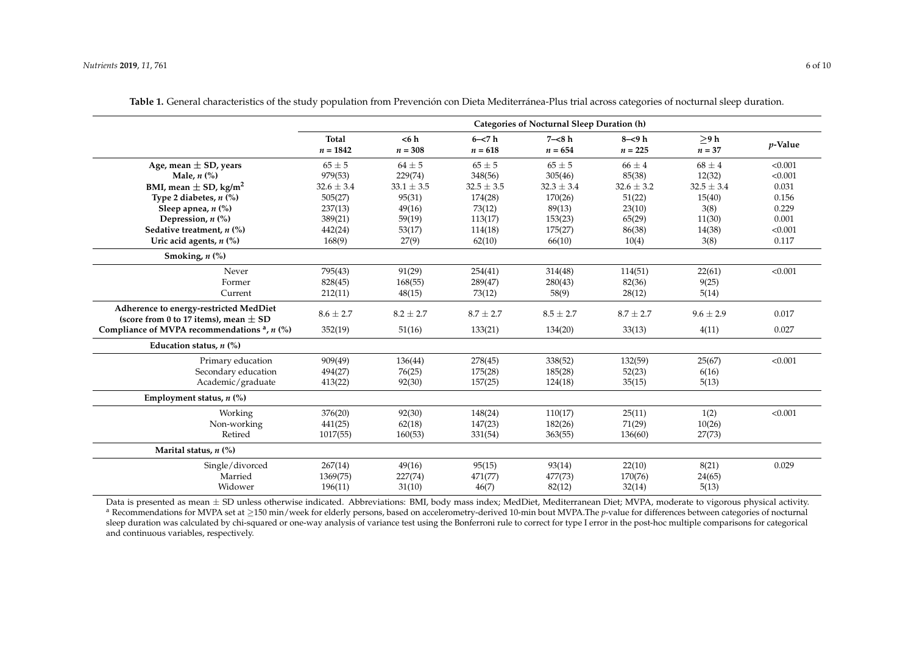|                                                                                     | <b>Categories of Nocturnal Sleep Duration (h)</b> |                    |                       |                          |                       |                |            |  |
|-------------------------------------------------------------------------------------|---------------------------------------------------|--------------------|-----------------------|--------------------------|-----------------------|----------------|------------|--|
|                                                                                     | <b>Total</b><br>$n = 1842$                        | < 6 h<br>$n = 308$ | $6 - 7h$<br>$n = 618$ | $7 - < 8 h$<br>$n = 654$ | $8 - 9h$<br>$n = 225$ | >9 h<br>$n=37$ | $p$ -Value |  |
| Age, mean $\pm$ SD, years                                                           | $65 \pm 5$                                        | $64 \pm 5$         | $65 \pm 5$            | $65 \pm 5$               | $66 \pm 4$            | $68 \pm 4$     | < 0.001    |  |
| Male, $n$ $\left(\frac{9}{6}\right)$                                                | 979(53)                                           | 229(74)            | 348(56)               | 305(46)                  | 85(38)                | 12(32)         | < 0.001    |  |
| BMI, mean $\pm$ SD, kg/m <sup>2</sup>                                               | $32.6 \pm 3.4$                                    | $33.1 \pm 3.5$     | $32.5\pm3.5$          | $32.3 \pm 3.4$           | $32.6 \pm 3.2$        | $32.5 \pm 3.4$ | 0.031      |  |
| Type 2 diabetes, $n$ (%)                                                            | 505(27)                                           | 95(31)             | 174(28)               | 170(26)                  | 51(22)                | 15(40)         | 0.156      |  |
| Sleep apnea, $n$ $\left(\frac{9}{6}\right)$                                         | 237(13)                                           | 49(16)             | 73(12)                | 89(13)                   | 23(10)                | 3(8)           | 0.229      |  |
| Depression, $n$ (%)                                                                 | 389(21)                                           | 59(19)             | 113(17)               | 153(23)                  | 65(29)                | 11(30)         | 0.001      |  |
| Sedative treatment, $n$ (%)                                                         | 442(24)                                           | 53(17)             | 114(18)               | 175(27)                  | 86(38)                | 14(38)         | < 0.001    |  |
| Uric acid agents, $n$ $\left(\% \right)$                                            | 168(9)                                            | 27(9)              | 62(10)                | 66(10)                   | 10(4)                 | 3(8)           | 0.117      |  |
| Smoking, $n$ (%)                                                                    |                                                   |                    |                       |                          |                       |                |            |  |
| Never                                                                               | 795(43)                                           | 91(29)             | 254(41)               | 314(48)                  | 114(51)               | 22(61)         | < 0.001    |  |
| Former                                                                              | 828(45)                                           | 168(55)            | 289(47)               | 280(43)                  | 82(36)                | 9(25)          |            |  |
| Current                                                                             | 212(11)                                           | 48(15)             | 73(12)                | 58(9)                    | 28(12)                | 5(14)          |            |  |
| Adherence to energy-restricted MedDiet<br>(score from 0 to 17 items), mean $\pm$ SD | $8.6 \pm 2.7$                                     | $8.2 \pm 2.7$      | $8.7 \pm 2.7$         | $8.5 \pm 2.7$            | $8.7 \pm 2.7$         | $9.6 \pm 2.9$  | 0.017      |  |
| Compliance of MVPA recommendations $a$ , $n$ (%)                                    | 352(19)                                           | 51(16)             | 133(21)               | 134(20)                  | 33(13)                | 4(11)          | 0.027      |  |
| Education status, $n$ $\left(\% \right)$                                            |                                                   |                    |                       |                          |                       |                |            |  |
| Primary education                                                                   | 909(49)                                           | 136(44)            | 278(45)               | 338(52)                  | 132(59)               | 25(67)         | < 0.001    |  |
| Secondary education                                                                 | 494(27)                                           | 76(25)             | 175(28)               | 185(28)                  | 52(23)                | 6(16)          |            |  |
| Academic/graduate                                                                   | 413(22)                                           | 92(30)             | 157(25)               | 124(18)                  | 35(15)                | 5(13)          |            |  |
| Employment status, $n$ (%)                                                          |                                                   |                    |                       |                          |                       |                |            |  |
| Working                                                                             | 376(20)                                           | 92(30)             | 148(24)               | 110(17)                  | 25(11)                | 1(2)           | < 0.001    |  |
| Non-working                                                                         | 441(25)                                           | 62(18)             | 147(23)               | 182(26)                  | 71(29)                | 10(26)         |            |  |
| Retired                                                                             | 1017(55)                                          | 160(53)            | 331(54)               | 363(55)                  | 136(60)               | 27(73)         |            |  |
| Marital status, $n$ (%)                                                             |                                                   |                    |                       |                          |                       |                |            |  |
| Single/divorced                                                                     | 267(14)                                           | 49(16)             | 95(15)                | 93(14)                   | 22(10)                | 8(21)          | 0.029      |  |
| Married                                                                             | 1369(75)                                          | 227(74)            | 471(77)               | 477(73)                  | 170(76)               | 24(65)         |            |  |
| Widower                                                                             | 196(11)                                           | 31(10)             | 46(7)                 | 82(12)                   | 32(14)                | 5(13)          |            |  |

**Table 1.** General characteristics of the study population from Prevención con Dieta Mediterránea-Plus trial across categories of nocturnal sleep duration.

<span id="page-5-0"></span>Data is presented as mean  $\pm$  SD unless otherwise indicated. Abbreviations: BMI, body mass index; MedDiet, Mediterranean Diet; MVPA, moderate to vigorous physical activity. <sup>a</sup> Recommendations for MVPA set at ≥150 min/week for elderly persons, based on accelerometry-derived 10-min bout MVPA.The *p*-value for differences between categories of nocturnal sleep duration was calculated by chi-squared or one-way analysis of variance test using the Bonferroni rule to correct for type I error in the post-hoc multiple comparisons for categorical and continuous variables, respectively.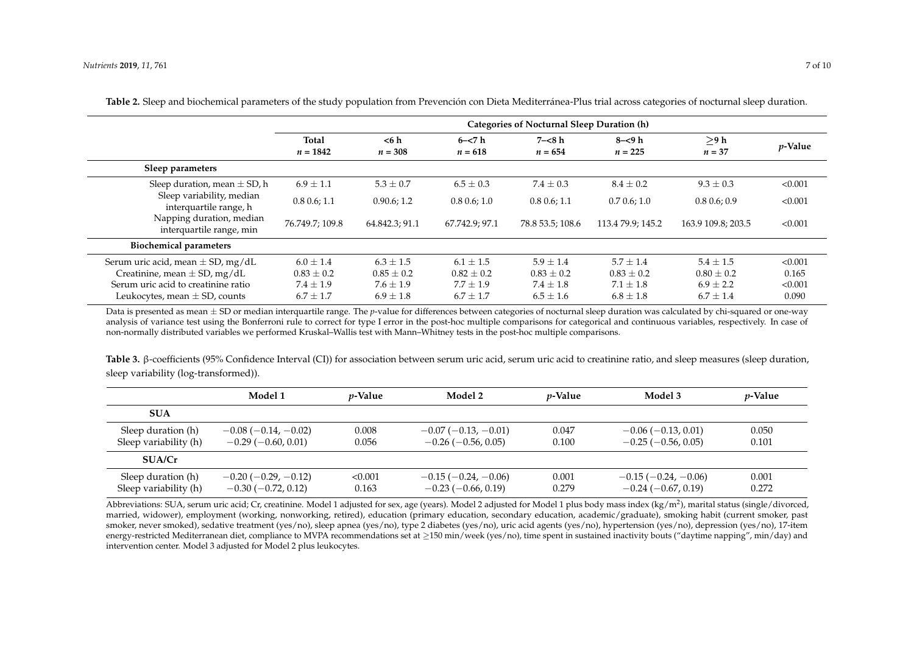|                                                                                                                                                       | <b>Categories of Nocturnal Sleep Duration (h)</b>                 |                                                                   |                                                                   |                                                                   |                                                                   |                                                                   |                                      |
|-------------------------------------------------------------------------------------------------------------------------------------------------------|-------------------------------------------------------------------|-------------------------------------------------------------------|-------------------------------------------------------------------|-------------------------------------------------------------------|-------------------------------------------------------------------|-------------------------------------------------------------------|--------------------------------------|
|                                                                                                                                                       | Total<br>$n = 1842$                                               | < 6 h<br>$n = 308$                                                | $6 - 57 h$<br>$n = 618$                                           | 7–<8 h<br>$n = 654$                                               | 8–<9 h<br>$n = 225$                                               | >9 h<br>$n=37$                                                    | $p$ -Value                           |
| Sleep parameters                                                                                                                                      |                                                                   |                                                                   |                                                                   |                                                                   |                                                                   |                                                                   |                                      |
| Sleep duration, mean $\pm$ SD, h                                                                                                                      | $6.9 \pm 1.1$                                                     | $5.3 \pm 0.7$                                                     | $6.5 \pm 0.3$                                                     | $7.4 \pm 0.3$                                                     | $8.4 \pm 0.2$                                                     | $9.3 \pm 0.3$                                                     | < 0.001                              |
| Sleep variability, median<br>interquartile range, h<br>Napping duration, median<br>interquartile range, min                                           | 0.8 0.6; 1.1                                                      | 0.90.6; 1.2                                                       | $0.8\,0.6; 1.0$                                                   | 0.8 0.6; 1.1                                                      | 0.70.6;1.0                                                        | 0.80.6;0.9                                                        | < 0.001                              |
|                                                                                                                                                       | 76.749.7; 109.8                                                   | 64.842.3; 91.1                                                    | 67.742.9; 97.1                                                    | 78.8 53.5; 108.6                                                  | 113.4 79.9; 145.2                                                 | 163.9 109.8; 203.5                                                | < 0.001                              |
| <b>Biochemical parameters</b>                                                                                                                         |                                                                   |                                                                   |                                                                   |                                                                   |                                                                   |                                                                   |                                      |
| Serum uric acid, mean $\pm$ SD, mg/dL<br>Creatinine, mean $\pm$ SD, mg/dL<br>Serum uric acid to creatinine ratio<br>Leukocytes, mean $\pm$ SD, counts | $6.0 \pm 1.4$<br>$0.83 \pm 0.2$<br>$7.4 \pm 1.9$<br>$6.7 \pm 1.7$ | $6.3 \pm 1.5$<br>$0.85 \pm 0.2$<br>$7.6 \pm 1.9$<br>$6.9 \pm 1.8$ | $6.1 \pm 1.5$<br>$0.82 \pm 0.2$<br>$7.7 \pm 1.9$<br>$6.7 \pm 1.7$ | $5.9 \pm 1.4$<br>$0.83 \pm 0.2$<br>$7.4 \pm 1.8$<br>$6.5 \pm 1.6$ | $5.7 \pm 1.4$<br>$0.83 \pm 0.2$<br>$7.1 \pm 1.8$<br>$6.8 \pm 1.8$ | $5.4 \pm 1.5$<br>$0.80 \pm 0.2$<br>$6.9 \pm 2.2$<br>$6.7 \pm 1.4$ | < 0.001<br>0.165<br>< 0.001<br>0.090 |

**Table 2.** Sleep and biochemical parameters of the study population from Prevención con Dieta Mediterránea-Plus trial across categories of nocturnal sleep duration.

Data is presented as mean ± SD or median interquartile range. The *p*-value for differences between categories of nocturnal sleep duration was calculated by chi-squared or one-way analysis of variance test using the Bonferroni rule to correct for type I error in the post-hoc multiple comparisons for categorical and continuous variables, respectively. In case of non-normally distributed variables we performed Kruskal–Wallis test with Mann–Whitney tests in the post-hoc multiple comparisons.

<span id="page-6-0"></span>**Table 3.** β-coefficients (95% Confidence Interval (CI)) for association between serum uric acid, serum uric acid to creatinine ratio, and sleep measures (sleep duration, sleep variability (log-transformed)).

|                                             | Model 1                                                    | <i>v</i> -Value  | Model 2                                      | <i>v</i> -Value | Model 3                                      | <i>p</i> -Value |
|---------------------------------------------|------------------------------------------------------------|------------------|----------------------------------------------|-----------------|----------------------------------------------|-----------------|
| <b>SUA</b>                                  |                                                            |                  |                                              |                 |                                              |                 |
| Sleep duration (h)                          | $-0.08$ ( $-0.14$ , $-0.02$ )                              | 0.008            | $-0.07(-0.13,-0.01)$                         | 0.047           | $-0.06(-0.13, 0.01)$                         | 0.050           |
| Sleep variability (h)                       | $-0.29(-0.60, 0.01)$                                       | 0.056            | $-0.26(-0.56, 0.05)$                         | 0.100           | $-0.25(-0.56, 0.05)$                         | 0.101           |
| SIIA/Cr                                     |                                                            |                  |                                              |                 |                                              |                 |
| Sleep duration (h)<br>Sleep variability (h) | $-0.20$ ( $-0.29$ , $-0.12$ )<br>$-0.30$ ( $-0.72$ , 0.12) | < 0.001<br>0.163 | $-0.15(-0.24,-0.06)$<br>$-0.23(-0.66, 0.19)$ | 0.001<br>0.279  | $-0.15(-0.24,-0.06)$<br>$-0.24(-0.67, 0.19)$ | 0.001<br>0.272  |

<span id="page-6-1"></span>Abbreviations: SUA, serum uric acid; Cr, creatinine. Model 1 adjusted for sex, age (years). Model 2 adjusted for Model 1 plus body mass index (kg/m<sup>2</sup>), marital status (single/divorced, married, widower), employment (working, nonworking, retired), education (primary education, secondary education, academic/graduate), smoking habit (current smoker, past smoker, never smoked), sedative treatment (yes/no), sleep apnea (yes/no), type 2 diabetes (yes/no), uric acid agents (yes/no), hypertension (yes/no), depression (yes/no), 17-item energy-restricted Mediterranean diet, compliance to MVPA recommendations set at ≥150 min/week (yes/no), time spent in sustained inactivity bouts ("daytime napping", min/day) and intervention center. Model 3 adjusted for Model 2 plus leukocytes.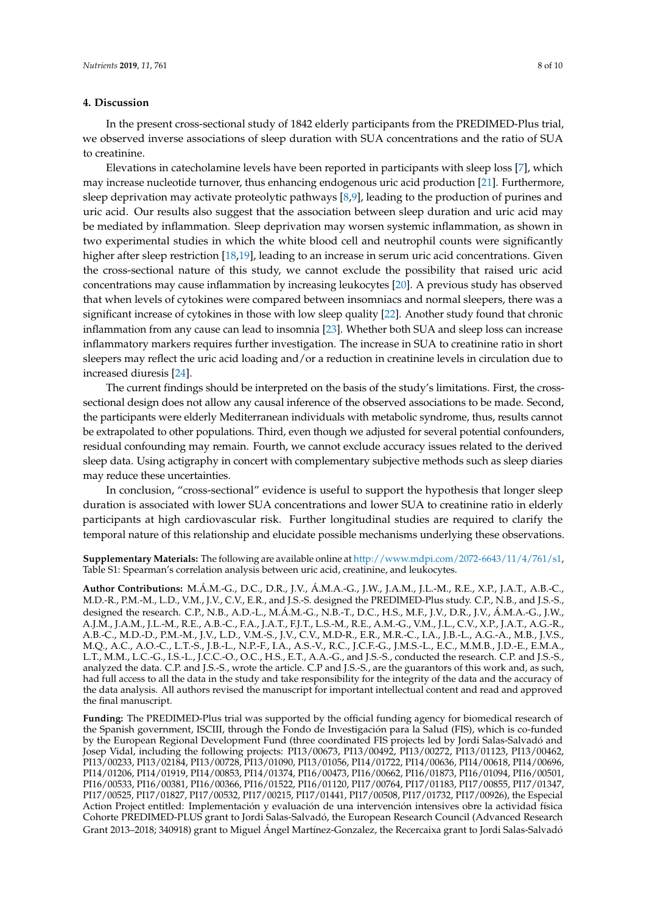## **4. Discussion**

In the present cross-sectional study of 1842 elderly participants from the PREDIMED-Plus trial, we observed inverse associations of sleep duration with SUA concentrations and the ratio of SUA to creatinine.

Elevations in catecholamine levels have been reported in participants with sleep loss [\[7\]](#page-8-6), which may increase nucleotide turnover, thus enhancing endogenous uric acid production [\[21\]](#page-9-9). Furthermore, sleep deprivation may activate proteolytic pathways [\[8,](#page-8-7)[9\]](#page-8-8), leading to the production of purines and uric acid. Our results also suggest that the association between sleep duration and uric acid may be mediated by inflammation. Sleep deprivation may worsen systemic inflammation, as shown in two experimental studies in which the white blood cell and neutrophil counts were significantly higher after sleep restriction [\[18,](#page-9-7)[19\]](#page-9-10), leading to an increase in serum uric acid concentrations. Given the cross-sectional nature of this study, we cannot exclude the possibility that raised uric acid concentrations may cause inflammation by increasing leukocytes [\[20\]](#page-9-8). A previous study has observed that when levels of cytokines were compared between insomniacs and normal sleepers, there was a significant increase of cytokines in those with low sleep quality [\[22\]](#page-9-11). Another study found that chronic inflammation from any cause can lead to insomnia [\[23\]](#page-9-12). Whether both SUA and sleep loss can increase inflammatory markers requires further investigation. The increase in SUA to creatinine ratio in short sleepers may reflect the uric acid loading and/or a reduction in creatinine levels in circulation due to increased diuresis [\[24\]](#page-9-13).

The current findings should be interpreted on the basis of the study's limitations. First, the crosssectional design does not allow any causal inference of the observed associations to be made. Second, the participants were elderly Mediterranean individuals with metabolic syndrome, thus, results cannot be extrapolated to other populations. Third, even though we adjusted for several potential confounders, residual confounding may remain. Fourth, we cannot exclude accuracy issues related to the derived sleep data. Using actigraphy in concert with complementary subjective methods such as sleep diaries may reduce these uncertainties.

In conclusion, "cross-sectional" evidence is useful to support the hypothesis that longer sleep duration is associated with lower SUA concentrations and lower SUA to creatinine ratio in elderly participants at high cardiovascular risk. Further longitudinal studies are required to clarify the temporal nature of this relationship and elucidate possible mechanisms underlying these observations.

**Supplementary Materials:** The following are available online at [http://www.mdpi.com/2072-6643/11/4/761/s1,](http://www.mdpi.com/2072-6643/11/4/761/s1) Table S1: Spearman's correlation analysis between uric acid, creatinine, and leukocytes.

**Author Contributions:** M.Á.M.-G., D.C., D.R., J.V., Á.M.A.-G., J.W., J.A.M., J.L.-M., R.E., X.P., J.A.T., A.B.-C., M.D.-R., P.M.-M., L.D., V.M., J.V., C.V., E.R., and J.S.-S. designed the PREDIMED-Plus study. C.P., N.B., and J.S.-S., designed the research. C.P., N.B., A.D.-L., M.Á.M.-G., N.B.-T., D.C., H.S., M.F., J.V., D.R., J.V., Á.M.A.-G., J.W., A.J.M., J.A.M., J.L.-M., R.E., A.B.-C., F.A., J.A.T., F.J.T., L.S.-M., R.E., A.M.-G., V.M., J.L., C.V., X.P., J.A.T., A.G.-R., A.B.-C., M.D.-D., P.M.-M., J.V., L.D., V.M.-S., J.V., C.V., M.D-R., E.R., M.R.-C., I.A., J.B.-L., A.G.-A., M.B., J.V.S., M.Q., A.C., A.O.-C., L.T.-S., J.B.-L., N.P.-F., I.A., A.S.-V., R.C., J.C.F.-G., J.M.S.-L., E.C., M.M.B., J.D.-E., E.M.A., L.T., M.M., L.C.-G., I.S.-L., J.C.C.-O., O.C., H.S., E.T., A.A.-G., and J.S.-S., conducted the research. C.P. and J.S.-S., analyzed the data. C.P. and J.S.-S., wrote the article. C.P and J.S.-S., are the guarantors of this work and, as such, had full access to all the data in the study and take responsibility for the integrity of the data and the accuracy of the data analysis. All authors revised the manuscript for important intellectual content and read and approved the final manuscript.

**Funding:** The PREDIMED-Plus trial was supported by the official funding agency for biomedical research of the Spanish government, ISCIII, through the Fondo de Investigación para la Salud (FIS), which is co-funded by the European Regional Development Fund (three coordinated FIS projects led by Jordi Salas-Salvadó and Josep Vidal, including the following projects: PI13/00673, PI13/00492, PI13/00272, PI13/01123, PI13/00462, PI13/00233, PI13/02184, PI13/00728, PI13/01090, PI13/01056, PI14/01722, PI14/00636, PI14/00618, PI14/00696, PI14/01206, PI14/01919, PI14/00853, PI14/01374, PI16/00473, PI16/00662, PI16/01873, PI16/01094, PI16/00501, PI16/00533, PI16/00381, PI16/00366, PI16/01522, PI16/01120, PI17/00764, PI17/01183, PI17/00855, PI17/01347, PI17/00525, PI17/01827, PI17/00532, PI17/00215, PI17/01441, PI17/00508, PI17/01732, PI17/00926), the Especial Action Project entitled: Implementación y evaluación de una intervención intensives obre la actividad física Cohorte PREDIMED-PLUS grant to Jordi Salas-Salvadó, the European Research Council (Advanced Research Grant 2013–2018; 340918) grant to Miguel Ángel Martínez-Gonzalez, the Recercaixa grant to Jordi Salas-Salvadó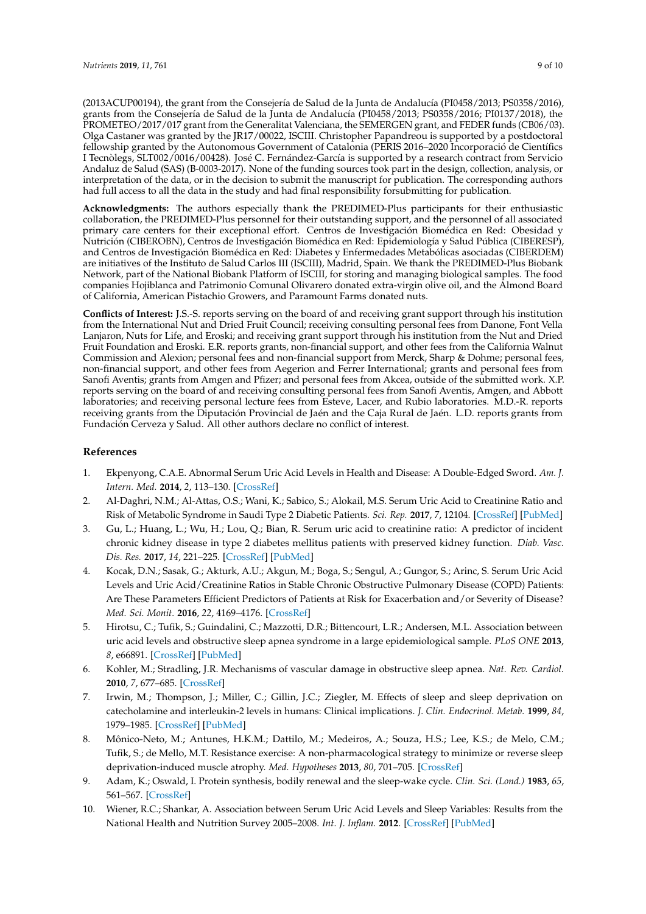(2013ACUP00194), the grant from the Consejería de Salud de la Junta de Andalucía (PI0458/2013; PS0358/2016), grants from the Consejería de Salud de la Junta de Andalucía (PI0458/2013; PS0358/2016; PI0137/2018), the PROMETEO/2017/017 grant from the Generalitat Valenciana, the SEMERGEN grant, and FEDER funds (CB06/03). Olga Castaner was granted by the JR17/00022, ISCIII. Christopher Papandreou is supported by a postdoctoral fellowship granted by the Autonomous Government of Catalonia (PERIS 2016–2020 Incorporació de Científics I Tecnòlegs, SLT002/0016/00428). José C. Fernández-García is supported by a research contract from Servicio Andaluz de Salud (SAS) (B-0003-2017). None of the funding sources took part in the design, collection, analysis, or interpretation of the data, or in the decision to submit the manuscript for publication. The corresponding authors had full access to all the data in the study and had final responsibility forsubmitting for publication.

**Acknowledgments:** The authors especially thank the PREDIMED-Plus participants for their enthusiastic collaboration, the PREDIMED-Plus personnel for their outstanding support, and the personnel of all associated primary care centers for their exceptional effort. Centros de Investigación Biomédica en Red: Obesidad y Nutrición (CIBEROBN), Centros de Investigación Biomédica en Red: Epidemiología y Salud Pública (CIBERESP), and Centros de Investigación Biomédica en Red: Diabetes y Enfermedades Metabólicas asociadas (CIBERDEM) are initiatives of the Instituto de Salud Carlos III (ISCIII), Madrid, Spain. We thank the PREDIMED-Plus Biobank Network, part of the National Biobank Platform of ISCIII, for storing and managing biological samples. The food companies Hojiblanca and Patrimonio Comunal Olivarero donated extra-virgin olive oil, and the Almond Board of California, American Pistachio Growers, and Paramount Farms donated nuts.

**Conflicts of Interest:** J.S.-S. reports serving on the board of and receiving grant support through his institution from the International Nut and Dried Fruit Council; receiving consulting personal fees from Danone, Font Vella Lanjaron, Nuts for Life, and Eroski; and receiving grant support through his institution from the Nut and Dried Fruit Foundation and Eroski. E.R. reports grants, non-financial support, and other fees from the California Walnut Commission and Alexion; personal fees and non-financial support from Merck, Sharp & Dohme; personal fees, non-financial support, and other fees from Aegerion and Ferrer International; grants and personal fees from Sanofi Aventis; grants from Amgen and Pfizer; and personal fees from Akcea, outside of the submitted work. X.P. reports serving on the board of and receiving consulting personal fees from Sanofi Aventis, Amgen, and Abbott laboratories; and receiving personal lecture fees from Esteve, Lacer, and Rubio laboratories. M.D.-R. reports receiving grants from the Diputación Provincial de Jaén and the Caja Rural de Jaén. L.D. reports grants from Fundación Cerveza y Salud. All other authors declare no conflict of interest.

#### **References**

- <span id="page-8-0"></span>1. Ekpenyong, C.A.E. Abnormal Serum Uric Acid Levels in Health and Disease: A Double-Edged Sword. *Am. J. Intern. Med.* **2014**, *2*, 113–130. [\[CrossRef\]](http://dx.doi.org/10.11648/j.ajim.20140206.15)
- <span id="page-8-1"></span>2. Al-Daghri, N.M.; Al-Attas, O.S.; Wani, K.; Sabico, S.; Alokail, M.S. Serum Uric Acid to Creatinine Ratio and Risk of Metabolic Syndrome in Saudi Type 2 Diabetic Patients. *Sci. Rep.* **2017**, *7*, 12104. [\[CrossRef\]](http://dx.doi.org/10.1038/s41598-017-12085-0) [\[PubMed\]](http://www.ncbi.nlm.nih.gov/pubmed/28935934)
- <span id="page-8-2"></span>3. Gu, L.; Huang, L.; Wu, H.; Lou, Q.; Bian, R. Serum uric acid to creatinine ratio: A predictor of incident chronic kidney disease in type 2 diabetes mellitus patients with preserved kidney function. *Diab. Vasc. Dis. Res.* **2017**, *14*, 221–225. [\[CrossRef\]](http://dx.doi.org/10.1177/1479164116680318) [\[PubMed\]](http://www.ncbi.nlm.nih.gov/pubmed/28183204)
- <span id="page-8-3"></span>4. Kocak, D.N.; Sasak, G.; Akturk, A.U.; Akgun, M.; Boga, S.; Sengul, A.; Gungor, S.; Arinc, S. Serum Uric Acid Levels and Uric Acid/Creatinine Ratios in Stable Chronic Obstructive Pulmonary Disease (COPD) Patients: Are These Parameters Efficient Predictors of Patients at Risk for Exacerbation and/or Severity of Disease? *Med. Sci. Monit.* **2016**, *22*, 4169–4176. [\[CrossRef\]](http://dx.doi.org/10.12659/MSM.897759)
- <span id="page-8-4"></span>5. Hirotsu, C.; Tufik, S.; Guindalini, C.; Mazzotti, D.R.; Bittencourt, L.R.; Andersen, M.L. Association between uric acid levels and obstructive sleep apnea syndrome in a large epidemiological sample. *PLoS ONE* **2013**, *8*, e66891. [\[CrossRef\]](http://dx.doi.org/10.1371/journal.pone.0066891) [\[PubMed\]](http://www.ncbi.nlm.nih.gov/pubmed/23826169)
- <span id="page-8-5"></span>6. Kohler, M.; Stradling, J.R. Mechanisms of vascular damage in obstructive sleep apnea. *Nat. Rev. Cardiol.* **2010**, *7*, 677–685. [\[CrossRef\]](http://dx.doi.org/10.1038/nrcardio.2010.145)
- <span id="page-8-6"></span>7. Irwin, M.; Thompson, J.; Miller, C.; Gillin, J.C.; Ziegler, M. Effects of sleep and sleep deprivation on catecholamine and interleukin-2 levels in humans: Clinical implications. *J. Clin. Endocrinol. Metab.* **1999**, *84*, 1979–1985. [\[CrossRef\]](http://dx.doi.org/10.1210/jc.84.6.1979) [\[PubMed\]](http://www.ncbi.nlm.nih.gov/pubmed/10372697)
- <span id="page-8-7"></span>8. Mônico-Neto, M.; Antunes, H.K.M.; Dattilo, M.; Medeiros, A.; Souza, H.S.; Lee, K.S.; de Melo, C.M.; Tufik, S.; de Mello, M.T. Resistance exercise: A non-pharmacological strategy to minimize or reverse sleep deprivation-induced muscle atrophy. *Med. Hypotheses* **2013**, *80*, 701–705. [\[CrossRef\]](http://dx.doi.org/10.1016/j.mehy.2013.02.013)
- <span id="page-8-8"></span>9. Adam, K.; Oswald, I. Protein synthesis, bodily renewal and the sleep-wake cycle. *Clin. Sci. (Lond.)* **1983**, *65*, 561–567. [\[CrossRef\]](http://dx.doi.org/10.1042/cs0650561)
- <span id="page-8-9"></span>10. Wiener, R.C.; Shankar, A. Association between Serum Uric Acid Levels and Sleep Variables: Results from the National Health and Nutrition Survey 2005–2008. *Int. J. Inflam.* **2012**. [\[CrossRef\]](http://dx.doi.org/10.1155/2012/363054) [\[PubMed\]](http://www.ncbi.nlm.nih.gov/pubmed/22970407)